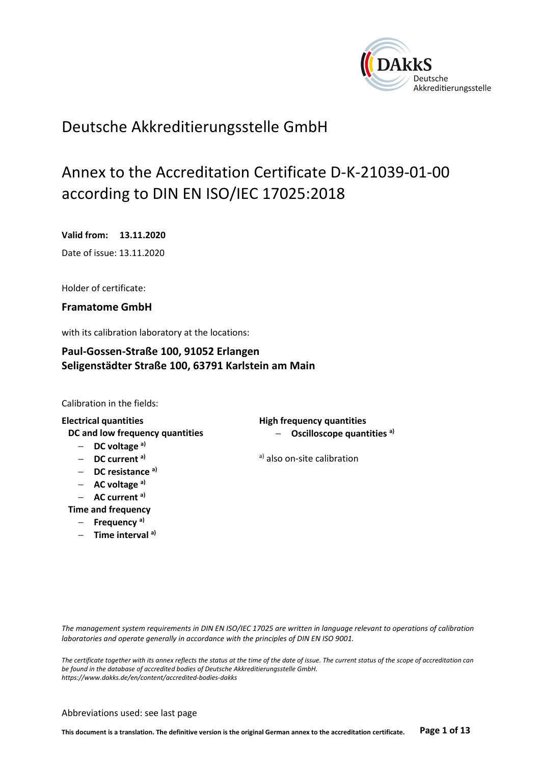

# Deutsche Akkreditierungsstelle GmbH

# Annex to the Accreditation Certificate D-K-21039-01-00 according to DIN EN ISO/IEC 17025:2018

**Valid from: 13.11.2020**  Date of issue: 13.11.2020

Holder of certificate:

**Framatome GmbH** 

with its calibration laboratory at the locations:

# **Paul-Gossen-Straße 100, 91052 Erlangen Seligenstädter Straße 100, 63791 Karlstein am Main**

Calibration in the fields:

- − **DC voltage a)**
- 
- − **DC resistance a)**
- − **AC voltage a)**
- − **AC current a)**
- **Time and frequency**
	- − **Frequency a)**
	- − **Time interval a)**

**Electrical quantities High frequency quantities DC and low frequency quantities**  $\blacksquare$  **− 0scilloscope quantities <sup>a)</sup>** 

− **DC current a)** a) also on-site calibration

*The management system requirements in DIN EN ISO/IEC 17025 are written in language relevant to operations of calibration laboratories and operate generally in accordance with the principles of DIN EN ISO 9001.* 

*The certificate together with its annex reflects the status at the time of the date of issue. The current status of the scope of accreditation can be found in the database of accredited bodies of Deutsche Akkreditierungsstelle GmbH. https://www.dakks.de/en/content/accredited-bodies-dakks* 

#### Abbreviations used: see last page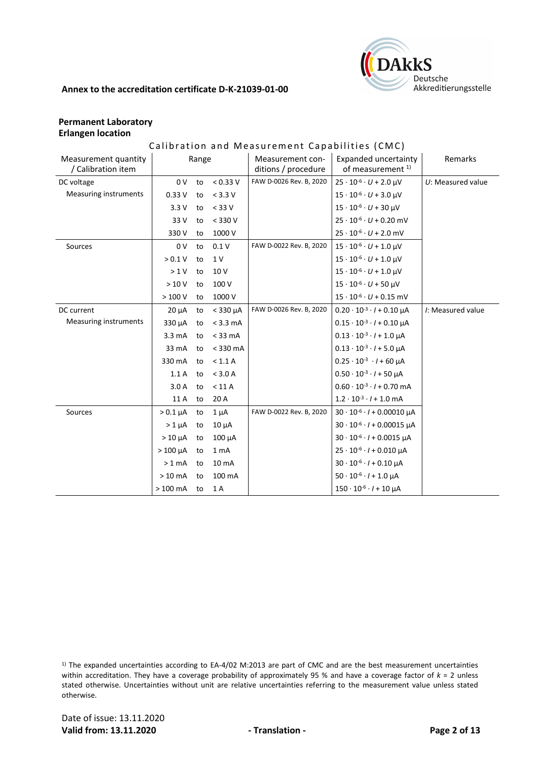

# **Permanent Laboratory Erlangen location**

# Calibration and Measurement Capabilities (CMC)

| Measurement quantity<br>/ Calibration item |                  | Range |                  | Measurement con-<br>ditions / procedure | <b>Expanded uncertainty</b><br>of measurement <sup>1)</sup> | Remarks             |
|--------------------------------------------|------------------|-------|------------------|-----------------------------------------|-------------------------------------------------------------|---------------------|
| DC voltage                                 | 0 <sub>V</sub>   | to    | < 0.33 V         | FAW D-0026 Rev. B, 2020                 | $25 \cdot 10^{-6} \cdot U + 2.0 \mu V$                      | $U:$ Measured value |
| <b>Measuring instruments</b>               | 0.33V            | to    | < 3.3 V          |                                         | $15 \cdot 10^{-6} \cdot U + 3.0 \mu V$                      |                     |
|                                            | 3.3V             | to    | $<$ 33 V         |                                         | $15 \cdot 10^{-6} \cdot U + 30 \mu V$                       |                     |
|                                            | 33 V             | to    | $<$ 330 V        |                                         | $25 \cdot 10^{-6} \cdot U + 0.20$ mV                        |                     |
|                                            | 330 V            | to    | 1000 V           |                                         | $25 \cdot 10^{-6} \cdot U + 2.0$ mV                         |                     |
| Sources                                    | 0 <sub>V</sub>   | to    | 0.1V             | FAW D-0022 Rev. B, 2020                 | $15 \cdot 10^{-6} \cdot U + 1.0 \mu V$                      |                     |
|                                            | > 0.1 V          | to    | 1 V              |                                         | $15 \cdot 10^{-6} \cdot U + 1.0 \mu V$                      |                     |
|                                            | >1V              | to    | 10 V             |                                         | $15 \cdot 10^{-6} \cdot U + 1.0$ µV                         |                     |
|                                            | >10V             | to    | 100 V            |                                         | $15 \cdot 10^{-6} \cdot U + 50 \mu V$                       |                     |
|                                            | >100V            | to    | 1000 V           |                                         | $15 \cdot 10^{-6} \cdot U + 0.15$ mV                        |                     |
| DC current                                 | $20 \mu A$       | to    | $<$ 330 $\mu$ A  | FAW D-0026 Rev. B, 2020                 | $0.20 \cdot 10^{-3} \cdot l + 0.10 \mu A$                   | /: Measured value   |
| <b>Measuring instruments</b>               | 330 µA           | to    | $<$ 3.3 mA       |                                         | $0.15 \cdot 10^{-3} \cdot l + 0.10 \mu A$                   |                     |
|                                            | $3.3 \text{ mA}$ | to    | $<$ 33 mA        |                                         | $0.13 \cdot 10^{-3} \cdot l + 1.0 \mu A$                    |                     |
|                                            | 33 mA            | to    | $<$ 330 mA       |                                         | $0.13 \cdot 10^{-3} \cdot l + 5.0 \mu A$                    |                     |
|                                            | 330 mA           | to    | < 1.1 A          |                                         | $0.25 \cdot 10^{-3} \cdot l + 60 \mu A$                     |                     |
|                                            | 1.1A             | to    | $<$ 3.0 A        |                                         | $0.50 \cdot 10^{-3} \cdot l + 50 \mu A$                     |                     |
|                                            | 3.0A             | to    | < 11 A           |                                         | $0.60 \cdot 10^{-3} \cdot l + 0.70$ mA                      |                     |
|                                            | 11 A             | to    | 20 A             |                                         | $1.2 \cdot 10^{-3} \cdot l + 1.0$ mA                        |                     |
| Sources                                    | $> 0.1 \mu A$    | to    | $1 \mu A$        | FAW D-0022 Rev. B, 2020                 | $30 \cdot 10^{-6} \cdot l + 0.00010 \mu A$                  |                     |
|                                            | $>1 \mu A$       | to    | $10 \mu A$       |                                         | $30 \cdot 10^{-6} \cdot l + 0.00015$ µA                     |                     |
|                                            | $>10 \mu A$      | to    | $100 \mu A$      |                                         | $30 \cdot 10^{-6} \cdot l + 0.0015 \mu A$                   |                     |
|                                            | $>100 \mu A$     | to    | 1 <sub>mA</sub>  |                                         | $25 \cdot 10^{-6} \cdot l + 0.010 \mu A$                    |                     |
|                                            | $>1$ mA          | to    | 10 <sub>mA</sub> |                                         | $30 \cdot 10^{-6} \cdot l + 0.10 \mu A$                     |                     |
|                                            | $>10$ mA         | to    | 100 mA           |                                         | $50 \cdot 10^{-6} \cdot l + 1.0 \mu A$                      |                     |
|                                            | $>100$ mA        | to    | 1 A              |                                         | $150 \cdot 10^{-6} \cdot l + 10 \mu A$                      |                     |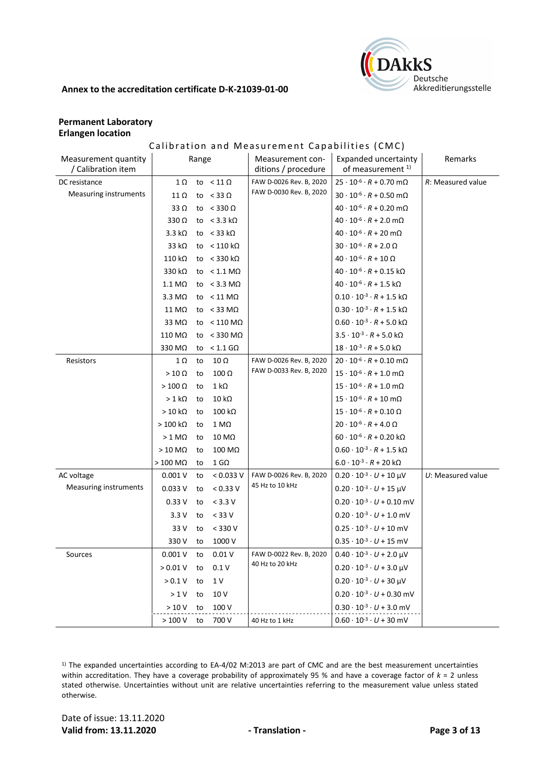

# **Permanent Laboratory Erlangen location**

# Calibration and Measurement Capabilities (CMC)

| Measurement quantity<br>Range<br>Measurement con-<br>/ Calibration item<br>ditions / procedure | Expanded uncertainty<br>Remarks<br>of measurement <sup>1)</sup>   |
|------------------------------------------------------------------------------------------------|-------------------------------------------------------------------|
| to $< 11 \Omega$<br>FAW D-0026 Rev. B, 2020<br>DC resistance<br>1Ω                             | $25 \cdot 10^{-6} \cdot R + 0.70$ m $\Omega$<br>R: Measured value |
| FAW D-0030 Rev. B, 2020<br>Measuring instruments<br>to $<$ 33 $\Omega$<br>$11 \Omega$          | $30 \cdot 10^{-6} \cdot R + 0.50$ m $\Omega$                      |
| $33 \Omega$<br>to $<$ 330 $\Omega$                                                             | $40 \cdot 10^{-6} \cdot R + 0.20 \text{ mA}$                      |
| $330\Omega$<br>to $<$ 3.3 k $\Omega$                                                           | $40 \cdot 10^{-6} \cdot R + 2.0 \text{ mA}$                       |
| $3.3 k\Omega$<br>to $<$ 33 k $\Omega$                                                          | $40\cdot10^{ \cdot 6} \cdot R + 20\; \mathrm{m}\Omega$            |
| 33 $k\Omega$<br>to $< 110 \text{ k}\Omega$                                                     | $30\cdot10^{ \cdot 6} \cdot R + 2.0~\Omega$                       |
| 110 k $\Omega$<br>to $<$ 330 kΩ                                                                | $40 \cdot 10^{-6} \cdot R + 10 \Omega$                            |
| 330 kΩ<br>to $< 1.1$ M $\Omega$                                                                | $40 \cdot 10^{-6} \cdot R + 0.15$ kΩ                              |
| to $< 3.3$ M $\Omega$<br>$1.1 \text{ M}\Omega$                                                 | $40 \cdot 10^{-6} \cdot R + 1.5 \text{ k}\Omega$                  |
| to $< 11$ M $\Omega$<br>$3.3 \text{ M}\Omega$                                                  | $0.10 \cdot 10^{-3} \cdot R + 1.5 \text{ k}\Omega$                |
| to $<$ 33 M $\Omega$<br>11 MΩ                                                                  | $0.30\cdot10^{\text{-}3}\cdot R + 1.5\; \text{k}\Omega$           |
| 33 MΩ<br>to $< 110$ M $\Omega$                                                                 | $0.60\cdot10^{\text{-}3}\cdot R + 5.0\;\text{k}\Omega$            |
| 110 MΩ<br>to < 330 M $\Omega$                                                                  | $3.5 \cdot 10^{-3} \cdot R + 5.0 \text{ k}\Omega$                 |
| 330 MΩ<br>to $< 1.1$ GQ                                                                        | $18 \cdot 10^{-3} \cdot R + 5.0 \text{ k}\Omega$                  |
| FAW D-0026 Rev. B, 2020<br>$10 \Omega$<br>Resistors<br>1Ω<br>to                                | $20 \cdot 10^{-6} \cdot R + 0.10 \text{ m}\Omega$                 |
| FAW D-0033 Rev. B, 2020<br>$100 \Omega$<br>$>10 \Omega$<br>to                                  | $15 \cdot 10^{-6} \cdot R + 1.0 \text{ mA}$                       |
| $>100 \Omega$<br>$1 k\Omega$<br>to                                                             | $15\cdot 10^{ \cdot 6}\cdot R + 1.0\; \mathrm{m}\Omega$           |
| $10 k\Omega$<br>$>1$ kΩ<br>to                                                                  | $15 \cdot 10^{-6} \cdot R + 10 \text{ m}\Omega$                   |
| $>10 k\Omega$<br>$100 k\Omega$<br>to                                                           | $15 \cdot 10^{-6} \cdot R + 0.10 \Omega$                          |
| $>100$ kΩ<br>$1 M\Omega$<br>to                                                                 | $20 \cdot 10^{-6} \cdot R + 4.0 \Omega$                           |
| $>1$ M $\Omega$<br>10 MΩ<br>to                                                                 | $60 \cdot 10^{-6} \cdot R + 0.20 \text{ k}\Omega$                 |
| 100 MΩ<br>$>10$ M $\Omega$<br>to                                                               | $0.60 \cdot 10^{-3} \cdot R + 1.5 \text{ k}\Omega$                |
| $>100$ M $\Omega$<br>$1$ G $\Omega$<br>to                                                      | $6.0 \cdot 10^{-3} \cdot R + 20 \text{ k}\Omega$                  |
| FAW D-0026 Rev. B, 2020<br>AC voltage<br>0.001V<br>< 0.033 V<br>to                             | $0.20 \cdot 10^{-3} \cdot U + 10 \mu V$<br>$U:$ Measured value    |
| 45 Hz to 10 kHz<br>Measuring instruments<br>0.033V<br>< 0.33 V<br>to                           | $0.20 \cdot 10^{-3} \cdot U + 15 \mu V$                           |
| 0.33V<br>$< 3.3 V$<br>to                                                                       | $0.20 \cdot 10^{-3} \cdot U + 0.10$ mV                            |
| 3.3V<br>$<$ 33 V<br>to                                                                         | $0.20 \cdot 10^{-3} \cdot U + 1.0$ mV                             |
| 33 V<br>$<$ 330 V<br>to                                                                        | $0.25 \cdot 10^{-3} \cdot U + 10$ mV                              |
| 330 V<br>1000 V<br>to                                                                          | $0.35 \cdot 10^{-3} \cdot U + 15$ mV                              |
| 0.001V<br>0.01V<br>FAW D-0022 Rev. B, 2020<br>Sources<br>to                                    | $0.40 \cdot 10^{-3} \cdot U + 2.0 \mu V$                          |
| 40 Hz to 20 kHz<br>> 0.01 V<br>0.1V<br>to                                                      | $0.20 \cdot 10^{-3} \cdot U + 3.0 \mu V$                          |
| > 0.1 V<br>1 V<br>to                                                                           | $0.20 \cdot 10^{-3} \cdot U + 30 \mu V$                           |
| >1V<br>10 V<br>to                                                                              | $0.20 \cdot 10^{-3} \cdot U + 0.30$ mV                            |
| >10V<br>100 V<br>to                                                                            |                                                                   |
|                                                                                                | $0.30 \cdot 10^{-3} \cdot U + 3.0$ mV                             |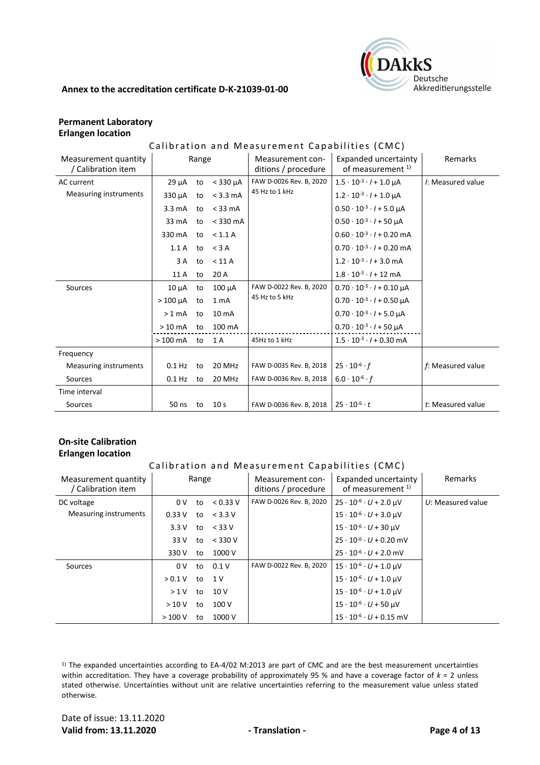

# **Permanent Laboratory Erlangen location**

# Calibration and Measurement Capabilities (CMC)

| Measurement quantity<br>/ Calibration item | Range            |    |                  | Measurement con-<br>ditions / procedure | Expanded uncertainty<br>of measurement <sup>1)</sup> | Remarks           |
|--------------------------------------------|------------------|----|------------------|-----------------------------------------|------------------------------------------------------|-------------------|
| AC current                                 | 29 µA            | to | $<$ 330 $\mu$ A  | FAW D-0026 Rev. B, 2020                 | $1.5 \cdot 10^{-3} \cdot l + 1.0 \mu A$              | I: Measured value |
| Measuring instruments                      | $330 \mu A$      | to | $<$ 3.3 mA       | 45 Hz to 1 kHz                          | $1.2 \cdot 10^{-3} \cdot l + 1.0 \mu A$              |                   |
|                                            | $3.3 \text{ mA}$ | to | $<$ 33 mA        |                                         | $0.50 \cdot 10^{-3} \cdot l + 5.0 \mu A$             |                   |
|                                            | 33 mA            | to | $<$ 330 mA       |                                         | $0.50 \cdot 10^{-3} \cdot l + 50 \mu A$              |                   |
|                                            | 330 mA           | to | < 1.1 A          |                                         | $0.60 \cdot 10^{-3} \cdot l + 0.20$ mA               |                   |
|                                            | 1.1A             | to | $<$ 3 A          |                                         | $0.70 \cdot 10^{-3} \cdot l + 0.20$ mA               |                   |
|                                            | 3 A              | to | $<$ 11 A         |                                         | $1.2 \cdot 10^{-3} \cdot l + 3.0$ mA                 |                   |
|                                            | 11 A             | to | 20 A             |                                         | $1.8 \cdot 10^{-3} \cdot l + 12$ mA                  |                   |
| Sources                                    | $10 \mu A$       | to | $100 \mu A$      | FAW D-0022 Rev. B, 2020                 | $0.70 \cdot 10^{-3} \cdot l + 0.10 \mu A$            |                   |
|                                            | $>100 \mu A$     | to | 1 <sub>m</sub> A | 45 Hz to 5 kHz                          | $0.70 \cdot 10^{-3} \cdot l + 0.50 \mu A$            |                   |
|                                            | $>1$ mA          | to | $10 \text{ mA}$  |                                         | $0.70 \cdot 10^{-3} \cdot l + 5.0 \mu A$             |                   |
|                                            | $>10$ mA         | to | 100 mA           |                                         | $0.70 \cdot 10^{-3} \cdot l + 50 \mu A$              |                   |
|                                            | $>100$ mA        | to | 1 A              | 45Hz to 1 kHz                           | $1.5 \cdot 10^{-3} \cdot l + 0.30$ mA                |                   |
| Frequency                                  |                  |    |                  |                                         |                                                      |                   |
| Measuring instruments                      | $0.1$ Hz         | to | 20 MHz           | FAW D-0035 Rev. B, 2018                 | $25 \cdot 10^{-6} \cdot f$                           | f: Measured value |
| Sources                                    | $0.1$ Hz         | to | 20 MHz           | FAW D-0036 Rev. B, 2018                 | $6.0 \cdot 10^{-6} \cdot f$                          |                   |
| Time interval                              |                  |    |                  |                                         |                                                      |                   |
| Sources                                    | 50 ns            | to | 10 <sub>s</sub>  | FAW D-0036 Rev. B, 2018                 | $25 \cdot 10^{-6} \cdot t$                           | t: Measured value |

# **On-site Calibration Erlangen location**

#### Calibration and Measurement Capabilities (CMC)

| Measurement quantity<br>/ Calibration item | Range   |    |           | Measurement con-<br>ditions / procedure | Expanded uncertainty<br>of measurement <sup>1)</sup> | <b>Remarks</b>      |
|--------------------------------------------|---------|----|-----------|-----------------------------------------|------------------------------------------------------|---------------------|
| DC voltage                                 | 0V      | to | < 0.33 V  | FAW D-0026 Rev. B, 2020                 | $25 \cdot 10^{-6} \cdot U + 2.0 \mu V$               | $U:$ Measured value |
| Measuring instruments                      | 0.33V   | to | $<$ 3.3 V |                                         | $15 \cdot 10^{-6} \cdot U + 3.0 \text{ }\mu\text{V}$ |                     |
|                                            | 3.3V    | to | $<$ 33 V  |                                         | $15 \cdot 10^{-6} \cdot U + 30$ µV                   |                     |
|                                            | 33 V    | to | $<$ 330 V |                                         | $25 \cdot 10^{-6} \cdot U + 0.20$ mV                 |                     |
|                                            | 330 V   | to | 1000 V    |                                         | $25 \cdot 10^{-6} \cdot U + 2.0$ mV                  |                     |
| Sources                                    | 0V      | to | 0.1V      | FAW D-0022 Rev. B, 2020                 | $15 \cdot 10^{-6} \cdot U + 1.0$ µV                  |                     |
|                                            | > 0.1 V | to | 1 V       |                                         | $15 \cdot 10^{-6} \cdot U + 1.0$ µV                  |                     |
|                                            | $>1$ V  | to | 10V       |                                         | $15 \cdot 10^{-6} \cdot U + 1.0$ uV                  |                     |
|                                            | >10V    | to | 100V      |                                         | $15 \cdot 10^{-6} \cdot U + 50$ µV                   |                     |
|                                            | >100V   | to | 1000 V    |                                         | $15 \cdot 10^{-6} \cdot U + 0.15$ mV                 |                     |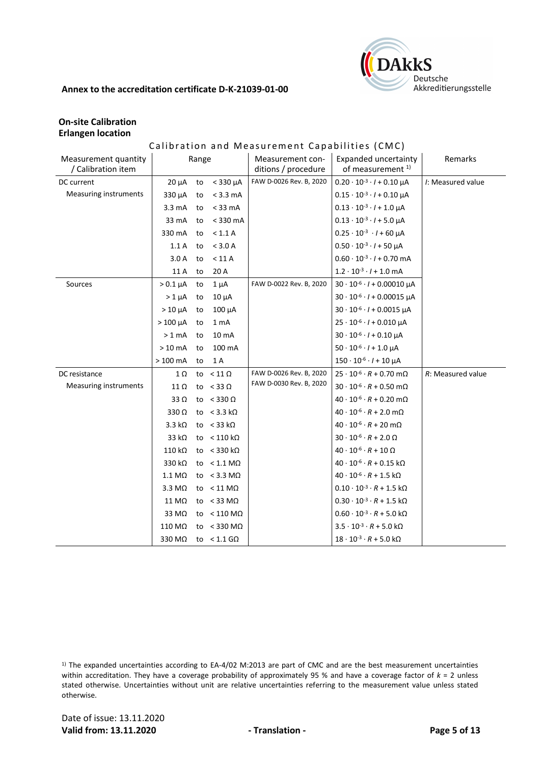

# **On-site Calibration Erlangen location**

# Calibration and Measurement Capabilities (CMC)

| Measurement quantity<br>/ Calibration item |                       | Range |                            | Measurement con-<br>ditions / procedure | Expanded uncertainty<br>of measurement <sup>1)</sup> | Remarks           |
|--------------------------------------------|-----------------------|-------|----------------------------|-----------------------------------------|------------------------------------------------------|-------------------|
| DC current                                 | $20 \mu A$            | to    | $<$ 330 $\mu$ A            | FAW D-0026 Rev. B, 2020                 | $0.20 \cdot 10^{-3} \cdot l + 0.10 \mu A$            | I: Measured value |
| <b>Measuring instruments</b>               | 330 µA                | to    | $<$ 3.3 mA                 |                                         | $0.15 \cdot 10^{-3} \cdot l + 0.10 \mu A$            |                   |
|                                            | 3.3 <sub>m</sub> A    | to    | $<$ 33 mA                  |                                         | $0.13 \cdot 10^{-3} \cdot l + 1.0 \mu A$             |                   |
|                                            | 33 mA                 | to    | $<$ 330 mA                 |                                         | $0.13 \cdot 10^{-3} \cdot l + 5.0 \mu A$             |                   |
|                                            | 330 mA                | to    | < 1.1 A                    |                                         | $0.25 \cdot 10^{-3} \cdot l + 60 \mu A$              |                   |
|                                            | 1.1A                  | to    | < 3.0 A                    |                                         | $0.50 \cdot 10^{-3} \cdot l + 50 \mu A$              |                   |
|                                            | 3.0A                  | to    | < 11 A                     |                                         | $0.60 \cdot 10^{-3} \cdot l + 0.70$ mA               |                   |
|                                            | 11 A                  | to    | 20 A                       |                                         | $1.2 \cdot 10^{-3} \cdot l + 1.0 \text{ mA}$         |                   |
| Sources                                    | $> 0.1 \mu A$         | to    | $1 \mu A$                  | FAW D-0022 Rev. B, 2020                 | $30 \cdot 10^{-6} \cdot l + 0.00010 \mu A$           |                   |
|                                            | $>1 \mu A$            | to    | $10 \mu A$                 |                                         | $30 \cdot 10^{-6} \cdot l + 0.00015 \mu A$           |                   |
|                                            | $>10 \mu A$           | to    | $100 \mu A$                |                                         | $30 \cdot 10^{-6} \cdot l + 0.0015$ µA               |                   |
|                                            | $>100 \mu A$          | to    | 1 <sub>mA</sub>            |                                         | $25 \cdot 10^{-6} \cdot l + 0.010 \mu A$             |                   |
|                                            | > 1 mA                | to    | 10 mA                      |                                         | $30 \cdot 10^{-6} \cdot l + 0.10 \mu A$              |                   |
|                                            | $>10$ mA              | to    | 100 mA                     |                                         | $50 \cdot 10^{-6} \cdot l + 1.0 \mu A$               |                   |
|                                            | $>100$ mA             | to    | 1 A                        |                                         | $150 \cdot 10^{-6} \cdot l + 10 \mu A$               |                   |
| DC resistance                              | 1Ω                    |       | to $< 11 \Omega$           | FAW D-0026 Rev. B, 2020                 | $25 \cdot 10^{-6} \cdot R + 0.70$ m $\Omega$         | R: Measured value |
| Measuring instruments                      | 11 Ω                  |       | to $<$ 33 $\Omega$         | FAW D-0030 Rev. B, 2020                 | $30 \cdot 10^{-6} \cdot R + 0.50$ m $\Omega$         |                   |
|                                            | 33 $\Omega$           |       | to $<$ 330 $\Omega$        |                                         | $40 \cdot 10^{-6} \cdot R + 0.20 \text{ m}\Omega$    |                   |
|                                            | $330\Omega$           |       | to $<$ 3.3 kΩ              |                                         | $40 \cdot 10^{-6} \cdot R + 2.0 \text{ mA}$          |                   |
|                                            | $3.3 k\Omega$         |       | to $<$ 33 k $\Omega$       |                                         | $40 \cdot 10^{-6} \cdot R + 20 \text{ m}\Omega$      |                   |
|                                            | 33 $k\Omega$          |       | to $< 110 \text{ k}\Omega$ |                                         | $30\cdot10^{ \cdot 6} \cdot R + 2.0~\Omega$          |                   |
|                                            | $110 k\Omega$         |       | to $<$ 330 kΩ              |                                         | $40 \cdot 10^{-6} \cdot R + 10 \Omega$               |                   |
|                                            | 330 k $\Omega$        |       | to $< 1.1 M\Omega$         |                                         | $40 \cdot 10^{-6} \cdot R + 0.15 \text{ k}\Omega$    |                   |
|                                            | $1.1 \text{ M}\Omega$ |       | to $<$ 3.3 M $\Omega$      |                                         | $40 \cdot 10^{-6} \cdot R + 1.5 \text{ k}\Omega$     |                   |
|                                            | $3.3 \text{ M}\Omega$ |       | to $< 11$ M $\Omega$       |                                         | $0.10 \cdot 10^{-3} \cdot R + 1.5 \text{ k}\Omega$   |                   |
|                                            | 11 MΩ                 |       | to $<$ 33 M $\Omega$       |                                         | $0.30 \cdot 10^{-3} \cdot R + 1.5 \text{ k}\Omega$   |                   |
|                                            | 33 MΩ                 |       | to $< 110 \text{ M}\Omega$ |                                         | $0.60 \cdot 10^{-3} \cdot R + 5.0 \text{ k}\Omega$   |                   |
|                                            | 110 MΩ                |       | to $<$ 330 M $\Omega$      |                                         | $3.5 \cdot 10^{-3} \cdot R + 5.0 \text{ k}\Omega$    |                   |
|                                            | 330 MΩ                |       | to $< 1.1$ GQ              |                                         | $18 \cdot 10^{-3} \cdot R + 5.0 \text{ k}\Omega$     |                   |

 $1)$  The expanded uncertainties according to EA-4/02 M:2013 are part of CMC and are the best measurement uncertainties within accreditation. They have a coverage probability of approximately 95 % and have a coverage factor of *k* = 2 unless stated otherwise. Uncertainties without unit are relative uncertainties referring to the measurement value unless stated otherwise.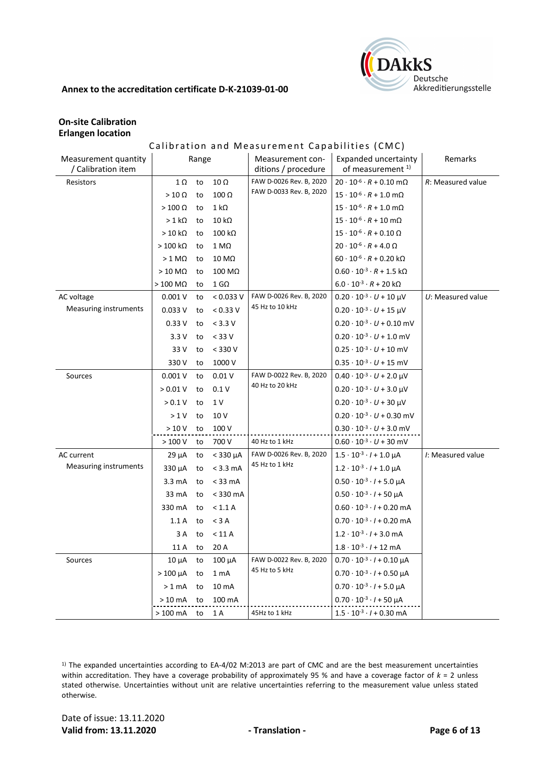

# **On-site Calibration Erlangen location**

# Calibration and Measurement Capabilities (CMC)

| Measurement quantity<br>/ Calibration item |                   | Range |                     | Measurement con-<br>ditions / procedure | Expanded uncertainty<br>of measurement <sup>1)</sup> | Remarks             |
|--------------------------------------------|-------------------|-------|---------------------|-----------------------------------------|------------------------------------------------------|---------------------|
| Resistors                                  | 1Ω                | to    | $10\ \Omega$        | FAW D-0026 Rev. B, 2020                 | $20 \cdot 10^{-6} \cdot R + 0.10 \text{ m}\Omega$    | R: Measured value   |
|                                            | $>10 \Omega$      | to    | $100 \Omega$        | FAW D-0033 Rev. B, 2020                 | $15 \cdot 10^{-6} \cdot R + 1.0 \text{ mA}$          |                     |
|                                            | $>100 \Omega$     | to    | $1 \text{ k}\Omega$ |                                         | $15 \cdot 10^{-6} \cdot R + 1.0 \text{ m}\Omega$     |                     |
|                                            | $> 1 k\Omega$     | to    | $10 k\Omega$        |                                         | $15 \cdot 10^{-6} \cdot R + 10 \text{ m}\Omega$      |                     |
|                                            | $>10 k\Omega$     | to    | $100 k\Omega$       |                                         | $15 \cdot 10^{-6} \cdot R + 0.10 \Omega$             |                     |
|                                            | $>100$ kΩ         | to    | $1 M\Omega$         |                                         | $20 \cdot 10^{-6} \cdot R + 4.0 \Omega$              |                     |
|                                            | $> 1$ M $\Omega$  | to    | 10 MΩ               |                                         | $60 \cdot 10^{-6} \cdot R + 0.20 \text{ k}\Omega$    |                     |
|                                            | $>10$ M $\Omega$  | to    | 100 MΩ              |                                         | $0.60 \cdot 10^{-3} \cdot R + 1.5 \text{ k}\Omega$   |                     |
|                                            | $>100$ M $\Omega$ | to    | $1$ G $\Omega$      |                                         | $6.0 \cdot 10^{-3} \cdot R + 20 \text{ k}\Omega$     |                     |
| AC voltage                                 | 0.001V            | to    | < 0.033 V           | FAW D-0026 Rev. B, 2020                 | $0.20 \cdot 10^{-3} \cdot U + 10 \mu V$              | $U:$ Measured value |
| <b>Measuring instruments</b>               | 0.033V            | to    | < 0.33 V            | 45 Hz to 10 kHz                         | $0.20 \cdot 10^{-3} \cdot U + 15$ µV                 |                     |
|                                            | 0.33V             | to    | $<$ 3.3 V           |                                         | $0.20 \cdot 10^{-3} \cdot U + 0.10$ mV               |                     |
|                                            | 3.3V              | to    | $< 33 V$            |                                         | $0.20 \cdot 10^{-3} \cdot U + 1.0$ mV                |                     |
|                                            | 33 V              | to    | $< 330 V$           |                                         | $0.25 \cdot 10^{-3} \cdot U + 10$ mV                 |                     |
|                                            | 330 V             | to    | 1000 V              |                                         | $0.35 \cdot 10^{-3} \cdot U + 15$ mV                 |                     |
| Sources                                    | 0.001V            | to    | 0.01V               | FAW D-0022 Rev. B, 2020                 | $0.40 \cdot 10^{-3} \cdot U + 2.0 \mu V$             |                     |
|                                            | > 0.01 V          | to    | 0.1V                | 40 Hz to 20 kHz                         | $0.20 \cdot 10^{-3} \cdot U + 3.0 \mu V$             |                     |
|                                            | > 0.1 V           | to    | $1\,\mathrm{V}$     |                                         | $0.20 \cdot 10^{-3} \cdot U + 30 \mu V$              |                     |
|                                            | >1 V              | to    | 10 V                |                                         | $0.20 \cdot 10^{-3} \cdot U + 0.30$ mV               |                     |
|                                            | >10V              | to    | 100 V               |                                         | $0.30 \cdot 10^{-3} \cdot U + 3.0$ mV                |                     |
|                                            | >100V             | to    | 700 V               | 40 Hz to 1 kHz                          | $0.60 \cdot 10^{-3} \cdot U + 30$ mV                 |                     |
| AC current                                 | $29 \mu A$        | to    | $<$ 330 $\mu$ A     | FAW D-0026 Rev. B, 2020                 | $1.5 \cdot 10^{-3} \cdot l + 1.0 \mu A$              | I: Measured value   |
| Measuring instruments                      | 330 µA            | to    | $< 3.3$ mA          | 45 Hz to 1 kHz                          | $1.2 \cdot 10^{-3} \cdot l + 1.0 \mu A$              |                     |
|                                            | $3.3 \text{ mA}$  | to    | $<$ 33 mA           |                                         | $0.50 \cdot 10^{-3} \cdot l + 5.0 \mu A$             |                     |
|                                            | 33 mA             | to    | $<$ 330 mA          |                                         | $0.50 \cdot 10^{-3} \cdot l + 50 \mu A$              |                     |
|                                            | 330 mA            | to    | < 1.1 A             |                                         | $0.60 \cdot 10^{-3} \cdot l + 0.20$ mA               |                     |
|                                            | 1.1A              | to    | $<$ 3 A             |                                         | $0.70 \cdot 10^{-3} \cdot l + 0.20$ mA               |                     |
|                                            | 3 A               | to    | < 11 A              |                                         | $1.2 \cdot 10^{-3} \cdot l + 3.0 \text{ mA}$         |                     |
|                                            | 11 A              | to    | 20 A                |                                         | $1.8 \cdot 10^{-3} \cdot l + 12 \text{ mA}$          |                     |
| Sources                                    | $10 \mu A$        | to    | $100 \mu A$         | FAW D-0022 Rev. B, 2020                 | $0.70 \cdot 10^{-3} \cdot l + 0.10 \mu A$            |                     |
|                                            | $>100 \mu A$      | to    | 1 <sub>mA</sub>     | 45 Hz to 5 kHz                          | $0.70 \cdot 10^{-3} \cdot l + 0.50 \mu A$            |                     |
|                                            | $>1$ mA           | to    | 10 mA               |                                         | $0.70 \cdot 10^{-3} \cdot l + 5.0 \mu A$             |                     |
|                                            | $>10$ mA          | to    | 100 mA              |                                         | $0.70 \cdot 10^{-3} \cdot l + 50 \mu A$              |                     |
|                                            | $>100$ mA         | to    | 1 A                 | 45Hz to 1 kHz                           | $1.5 \cdot 10^{-3} \cdot l + 0.30$ mA                |                     |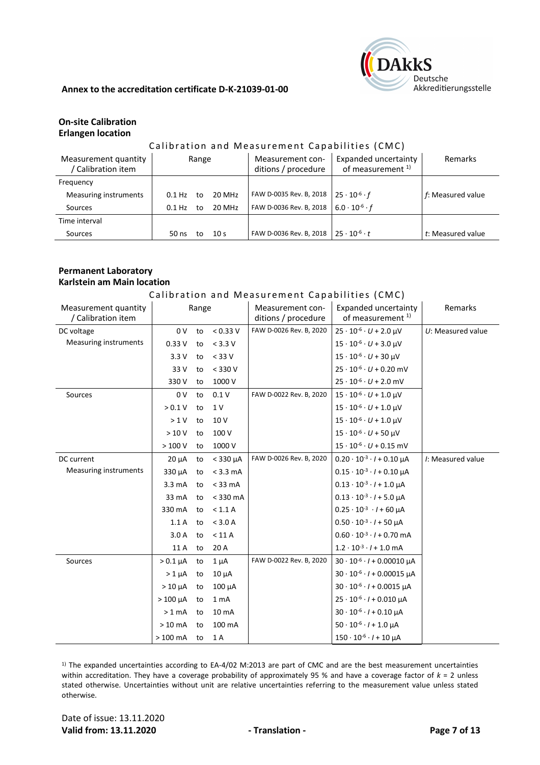

# **On-site Calibration Erlangen location**

#### Calibration and Measurement Capabilities (CMC)

| Measurement quantity<br>Calibration item |                    | Range |                 | Measurement con-<br>ditions / procedure | Expanded uncertainty<br>of measurement <sup>1)</sup> | Remarks           |
|------------------------------------------|--------------------|-------|-----------------|-----------------------------------------|------------------------------------------------------|-------------------|
| Frequency                                |                    |       |                 |                                         |                                                      |                   |
| <b>Measuring instruments</b>             | 0.1 H <sub>7</sub> | t٥    | 20 MHz          | FAW D-0035 Rev. B, 2018                 | $25 \cdot 10^{-6} \cdot f$                           | f: Measured value |
| Sources                                  | $0.1$ Hz           | to    | 20 MHz          | FAW D-0036 Rev. B, 2018                 | $6.0 \cdot 10^{-6} \cdot f$                          |                   |
| Time interval                            |                    |       |                 |                                         |                                                      |                   |
| Sources                                  | $50$ ns            | to    | 10 <sub>s</sub> | FAW D-0036 Rev. B, 2018                 | $25 \cdot 10^{-6} \cdot t$                           | t: Measured value |

# **Permanent Laboratory Karlstein am Main location**

#### Calibration and Measurement Capabilities (CMC)

| Measurement quantity<br>/ Calibration item |                  | Range |                    | Measurement con-<br>ditions / procedure | Expanded uncertainty<br>of measurement <sup>1)</sup> | Remarks             |
|--------------------------------------------|------------------|-------|--------------------|-----------------------------------------|------------------------------------------------------|---------------------|
| DC voltage                                 | 0 <sub>V</sub>   | to    | < 0.33 V           | FAW D-0026 Rev. B, 2020                 | $25 \cdot 10^{-6} \cdot U + 2.0 \text{ }\mu\text{V}$ | $U:$ Measured value |
| Measuring instruments                      | 0.33V            | to    | $< 3.3 V$          |                                         | $15 \cdot 10^{-6} \cdot U + 3.0 \mu V$               |                     |
|                                            | 3.3V             | to    | $<$ 33 V           |                                         | $15 \cdot 10^{-6} \cdot U + 30$ µV                   |                     |
|                                            | 33 V             | to    | $<$ 330 V          |                                         | $25 \cdot 10^{-6} \cdot U + 0.20$ mV                 |                     |
|                                            | 330 V            | to    | 1000 V             |                                         | $25 \cdot 10^{-6} \cdot U + 2.0$ mV                  |                     |
| Sources                                    | 0 <sub>V</sub>   | to    | 0.1V               | FAW D-0022 Rev. B, 2020                 | $15 \cdot 10^{-6} \cdot U + 1.0$ µV                  |                     |
|                                            | > 0.1 V          | to    | 1 V                |                                         | $15 \cdot 10^{-6} \cdot U + 1.0 \mu V$               |                     |
|                                            | >1 V             | to    | 10 V               |                                         | $15 \cdot 10^{-6} \cdot U + 1.0 \mu V$               |                     |
|                                            | >10V             | to    | 100 V              |                                         | $15 \cdot 10^{-6} \cdot U + 50$ µV                   |                     |
|                                            | >100V            | to    | 1000 V             |                                         | $15 \cdot 10^{-6} \cdot U + 0.15$ mV                 |                     |
| DC current                                 | $20 \mu A$       |       | to $<$ 330 $\mu$ A | FAW D-0026 Rev. B, 2020                 | $0.20 \cdot 10^{-3} \cdot l + 0.10 \mu A$            | I: Measured value   |
| Measuring instruments                      | 330 µA           | to    | $<$ 3.3 mA         |                                         | $0.15 \cdot 10^{-3} \cdot l + 0.10 \mu A$            |                     |
|                                            | $3.3 \text{ mA}$ | to    | $<$ 33 mA          |                                         | $0.13 \cdot 10^{-3} \cdot l + 1.0 \mu A$             |                     |
|                                            | 33 mA            | to    | $<$ 330 mA         |                                         | $0.13 \cdot 10^{-3} \cdot l + 5.0 \mu A$             |                     |
|                                            | 330 mA           | to    | < 1.1 A            |                                         | $0.25 \cdot 10^{-3} \cdot l + 60 \mu A$              |                     |
|                                            | 1.1A             | to    | < 3.0 A            |                                         | $0.50 \cdot 10^{-3} \cdot l + 50 \mu A$              |                     |
|                                            | 3.0A             | to    | < 11 A             |                                         | $0.60 \cdot 10^{-3} \cdot l + 0.70$ mA               |                     |
|                                            | 11 A             | to    | 20 A               |                                         | $1.2 \cdot 10^{-3} \cdot l + 1.0$ mA                 |                     |
| Sources                                    | $> 0.1 \mu A$    | to    | $1 \mu A$          | FAW D-0022 Rev. B, 2020                 | $30 \cdot 10^{-6} \cdot l + 0.00010 \mu A$           |                     |
|                                            | $>1 \mu A$       | to    | $10 \mu A$         |                                         | $30 \cdot 10^{-6} \cdot l + 0.00015 \mu A$           |                     |
|                                            | $>10 \mu A$      | to    | $100 \mu A$        |                                         | $30 \cdot 10^{-6} \cdot l + 0.0015 \mu A$            |                     |
|                                            | $>100 \mu A$     | to    | 1 <sub>mA</sub>    |                                         | $25 \cdot 10^{-6} \cdot l + 0.010 \mu A$             |                     |
|                                            | $>1$ mA          | to    | 10 mA              |                                         | $30 \cdot 10^{-6} \cdot l + 0.10 \mu A$              |                     |
|                                            | $>10 \text{ mA}$ | to    | 100 mA             |                                         | $50 \cdot 10^{-6} \cdot l + 1.0 \mu A$               |                     |
|                                            | $>100$ mA        | to    | 1 A                |                                         | $150 \cdot 10^{-6} \cdot l + 10 \mu A$               |                     |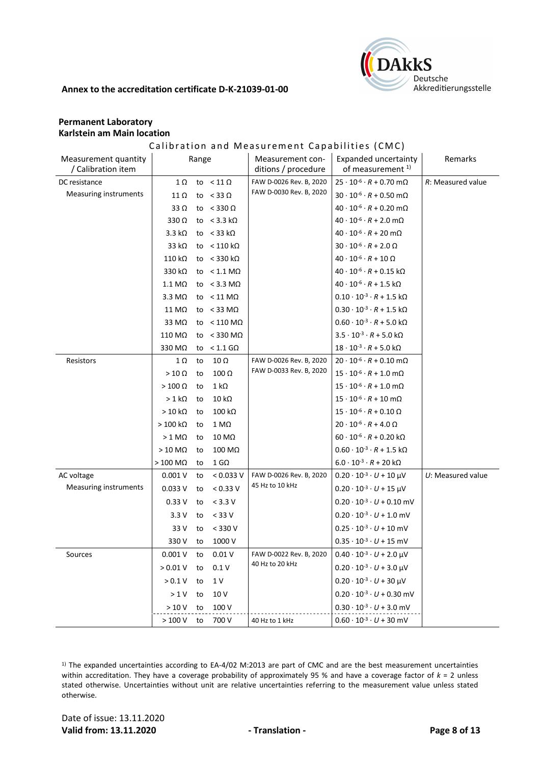

# **Permanent Laboratory Karlstein am Main location**

# Calibration and Measurement Capabilities (CMC)

| Measurement quantity<br>/ Calibration item | Range                 |    |                            | Measurement con-<br>ditions / procedure | Expanded uncertainty<br>of measurement <sup>1)</sup> | Remarks             |
|--------------------------------------------|-----------------------|----|----------------------------|-----------------------------------------|------------------------------------------------------|---------------------|
| DC resistance                              | 1Ω                    |    | to $< 11 \Omega$           | FAW D-0026 Rev. B, 2020                 | $25 \cdot 10^{-6} \cdot R + 0.70$ m $\Omega$         | R: Measured value   |
| Measuring instruments                      | $11 \Omega$           |    | to $<$ 33 $\Omega$         | FAW D-0030 Rev. B, 2020                 | $30 \cdot 10^{-6} \cdot R + 0.50$ m $\Omega$         |                     |
|                                            | 33 $\Omega$           |    | to $<$ 330 $\Omega$        |                                         | $40 \cdot 10^{-6} \cdot R + 0.20 \text{ mA}$         |                     |
|                                            | $330\Omega$           |    | to $<$ 3.3 k $\Omega$      |                                         | $40 \cdot 10^{-6} \cdot R + 2.0 \text{ m}\Omega$     |                     |
|                                            | $3.3 k\Omega$         |    | to $<$ 33 k $\Omega$       |                                         | $40 \cdot 10^{-6} \cdot R + 20 \text{ m}\Omega$      |                     |
|                                            | 33 $k\Omega$          |    | to $< 110 \text{ k}\Omega$ |                                         | $30 \cdot 10^{-6} \cdot R + 2.0 \Omega$              |                     |
|                                            | $110 k\Omega$         |    | to $<$ 330 kΩ              |                                         | $40 \cdot 10^{-6} \cdot R + 10 \Omega$               |                     |
|                                            | 330 kΩ                |    | to $< 1.1$ M $\Omega$      |                                         | $40 \cdot 10^{-6} \cdot R + 0.15$ kΩ                 |                     |
|                                            | $1.1 \text{ M}\Omega$ |    | to $<$ 3.3 M $\Omega$      |                                         | $40 \cdot 10^{-6} \cdot R + 1.5 \text{ k}\Omega$     |                     |
|                                            | $3.3 \text{ M}\Omega$ |    | to $< 11$ M $\Omega$       |                                         | $0.10 \cdot 10^{-3} \cdot R + 1.5 \text{ k}\Omega$   |                     |
|                                            | 11 MΩ                 |    | to $<$ 33 M $\Omega$       |                                         | $0.30 \cdot 10^{-3} \cdot R + 1.5 \text{ k}\Omega$   |                     |
|                                            | 33 M $\Omega$         |    | to $< 110$ M $\Omega$      |                                         | $0.60 \cdot 10^{-3} \cdot R + 5.0 \text{ k}\Omega$   |                     |
|                                            | 110 MΩ                |    | to < 330 M $\Omega$        |                                         | $3.5 \cdot 10^{-3} \cdot R + 5.0 \text{ k}\Omega$    |                     |
|                                            | 330 MΩ                |    | to $< 1.1$ G $\Omega$      |                                         | $18 \cdot 10^{-3} \cdot R + 5.0 \text{ k}\Omega$     |                     |
| Resistors                                  | $1 \Omega$            | to | $10 \Omega$                | FAW D-0026 Rev. B, 2020                 | $20 \cdot 10^{-6} \cdot R + 0.10 \text{ m}\Omega$    |                     |
|                                            | $>10 \Omega$          | to | $100 \Omega$               | FAW D-0033 Rev. B, 2020                 | $15 \cdot 10^{-6} \cdot R + 1.0 \text{ mA}$          |                     |
|                                            | $>100 \Omega$         | to | $1 k\Omega$                |                                         | $15 \cdot 10^{-6} \cdot R + 1.0 \text{ mA}$          |                     |
|                                            | $>1$ kΩ               | to | $10 k\Omega$               |                                         | $15\cdot 10^{.6}\cdot R + 10\; \text{m}\Omega$       |                     |
|                                            | $>10 k\Omega$         | to | $100 k\Omega$              |                                         | $15 \cdot 10^{-6} \cdot R + 0.10 \Omega$             |                     |
|                                            | $>100$ kΩ             | to | 1 MΩ                       |                                         | $20 \cdot 10^{-6} \cdot R + 4.0 \Omega$              |                     |
|                                            | $> 1$ M $\Omega$      | to | 10 MΩ                      |                                         | $60 \cdot 10^{-6} \cdot R + 0.20 \text{ k}\Omega$    |                     |
|                                            | $>10$ M $\Omega$      | to | 100 MΩ                     |                                         | $0.60 \cdot 10^{-3} \cdot R + 1.5 \text{ k}\Omega$   |                     |
|                                            | $>100$ M $\Omega$     | to | $1$ G $\Omega$             |                                         | $6.0 \cdot 10^{-3} \cdot R + 20 \text{ k}\Omega$     |                     |
| AC voltage                                 | 0.001V                | to | < 0.033 V                  | FAW D-0026 Rev. B, 2020                 | $0.20 \cdot 10^{-3} \cdot U + 10 \mu V$              | $U:$ Measured value |
| Measuring instruments                      | 0.033V                | to | < 0.33 V                   | 45 Hz to 10 kHz                         | $0.20 \cdot 10^{-3} \cdot U + 15 \mu V$              |                     |
|                                            | 0.33V                 | to | $< 3.3 V$                  |                                         | $0.20 \cdot 10^{-3} \cdot U + 0.10$ mV               |                     |
|                                            | 3.3V                  | to | $<$ 33 V                   |                                         | $0.20 \cdot 10^{-3} \cdot U + 1.0$ mV                |                     |
|                                            | 33 V                  | to | $<$ 330 V                  |                                         | $0.25 \cdot 10^{-3} \cdot U + 10$ mV                 |                     |
|                                            | 330 V                 | to | 1000 V                     |                                         | $0.35 \cdot 10^{-3} \cdot U + 15$ mV                 |                     |
| Sources                                    | 0.001V                | to | 0.01V                      | FAW D-0022 Rev. B, 2020                 | $0.40 \cdot 10^{-3} \cdot U + 2.0 \mu V$             |                     |
|                                            | > 0.01 V              | to | 0.1V                       | 40 Hz to 20 kHz                         | $0.20 \cdot 10^{-3} \cdot U + 3.0 \mu V$             |                     |
|                                            | $>0.1$ V              | to | 1 V                        |                                         | $0.20 \cdot 10^{-3} \cdot U + 30 \mu V$              |                     |
|                                            |                       | to | 10 V                       |                                         | $0.20 \cdot 10^{-3} \cdot U + 0.30$ mV               |                     |
|                                            |                       |    |                            |                                         |                                                      |                     |
|                                            | >1V<br>>10V           | to | 100 V                      |                                         | $0.30 \cdot 10^{-3} \cdot U + 3.0$ mV                |                     |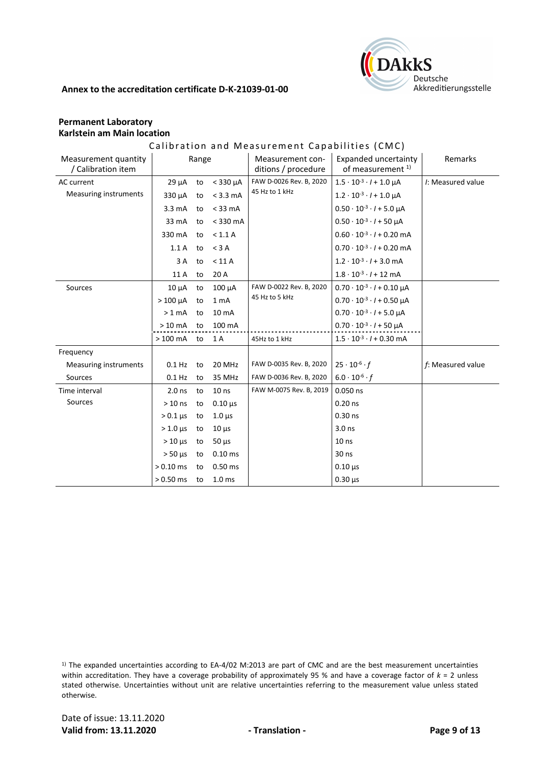

# **Permanent Laboratory Karlstein am Main location**

# Calibration and Measurement Capabilities (CMC)

| Measurement quantity<br>/ Calibration item |                            | Range |                   | Measurement con-<br>ditions / procedure | <b>Expanded uncertainty</b><br>of measurement <sup>1)</sup> | Remarks           |
|--------------------------------------------|----------------------------|-------|-------------------|-----------------------------------------|-------------------------------------------------------------|-------------------|
| AC current                                 | $29 \mu A$                 | to    | $<$ 330 $\mu$ A   | FAW D-0026 Rev. B, 2020                 | $1.5 \cdot 10^{-3} \cdot l + 1.0 \mu A$                     | I: Measured value |
| <b>Measuring instruments</b>               | 330 µA                     | to    | $<$ 3.3 mA        | 45 Hz to 1 kHz                          | $1.2 \cdot 10^{-3} \cdot l + 1.0 \mu A$                     |                   |
|                                            | $3.3 \text{ mA}$           | to    | $<$ 33 mA         |                                         | $0.50 \cdot 10^{-3} \cdot l + 5.0 \mu A$                    |                   |
|                                            | 33 mA                      | to    | $<$ 330 mA        |                                         | $0.50 \cdot 10^{-3} \cdot l + 50$ uA                        |                   |
|                                            | 330 mA                     | to    | < 1.1 A           |                                         | $0.60 \cdot 10^{-3} \cdot l + 0.20$ mA                      |                   |
|                                            | 1.1A                       | to    | $<$ 3 A           |                                         | $0.70 \cdot 10^{-3} \cdot l + 0.20$ mA                      |                   |
|                                            | 3A                         | to    | < 11 A            |                                         | $1.2 \cdot 10^{-3} \cdot l + 3.0 \text{ mA}$                |                   |
|                                            | 11 A                       | to    | 20 A              |                                         | $1.8 \cdot 10^{-3} \cdot l + 12$ mA                         |                   |
| Sources                                    | $10 \mu A$                 | to    | 100 µA            | FAW D-0022 Rev. B, 2020                 | $0.70 \cdot 10^{-3} \cdot l + 0.10 \mu A$                   |                   |
|                                            | $>100 \mu A$               | to    | 1 <sub>mA</sub>   | 45 Hz to 5 kHz                          | $0.70 \cdot 10^{-3} \cdot l + 0.50 \mu A$                   |                   |
|                                            | $>1$ mA                    | to    | 10 <sub>mA</sub>  |                                         | $0.70 \cdot 10^{-3} \cdot l + 5.0 \mu A$                    |                   |
|                                            | $>10$ mA                   | to    | 100 mA            |                                         | $0.70 \cdot 10^{-3} \cdot l + 50 \mu A$                     |                   |
|                                            | $>100$ mA                  | to    | 1 A               | 45Hz to 1 kHz                           | $1.5 \cdot 10^{-3} \cdot l + 0.30$ mA                       |                   |
| Frequency                                  |                            |       |                   |                                         |                                                             |                   |
| Measuring instruments                      | $0.1$ Hz                   | to    | 20 MHz            | FAW D-0035 Rev. B, 2020                 | $25 \cdot 10^{-6} \cdot f$                                  | f: Measured value |
| Sources                                    | $0.1$ Hz                   | to    | 35 MHz            | FAW D-0036 Rev. B, 2020                 | $6.0 \cdot 10^{-6} \cdot f$                                 |                   |
| Time interval                              | 2.0 <sub>ns</sub>          | to    | 10 <sub>ns</sub>  | FAW M-0075 Rev. B, 2019                 | $0.050$ ns                                                  |                   |
| Sources                                    | $>10$ ns                   | to    | $0.10 \,\mu s$    |                                         | $0.20$ ns                                                   |                   |
|                                            | $> 0.1 \mu s$              | to    | $1.0 \mu s$       |                                         | $0.30$ ns                                                   |                   |
|                                            | $> 1.0$ $\mu$ s            | to    | $10 \mu s$        |                                         | 3.0 <sub>ns</sub>                                           |                   |
|                                            | $> 10 \text{ }\mu\text{s}$ | to    | $50 \mu s$        |                                         | 10 <sub>ns</sub>                                            |                   |
|                                            | $> 50$ $\mu$ s             | to    | $0.10$ ms         |                                         | $30$ ns                                                     |                   |
|                                            | $> 0.10$ ms                | to    | $0.50$ ms         |                                         | $0.10 \mu s$                                                |                   |
|                                            | $> 0.50$ ms                | to    | 1.0 <sub>ms</sub> |                                         | $0.30 \,\mu s$                                              |                   |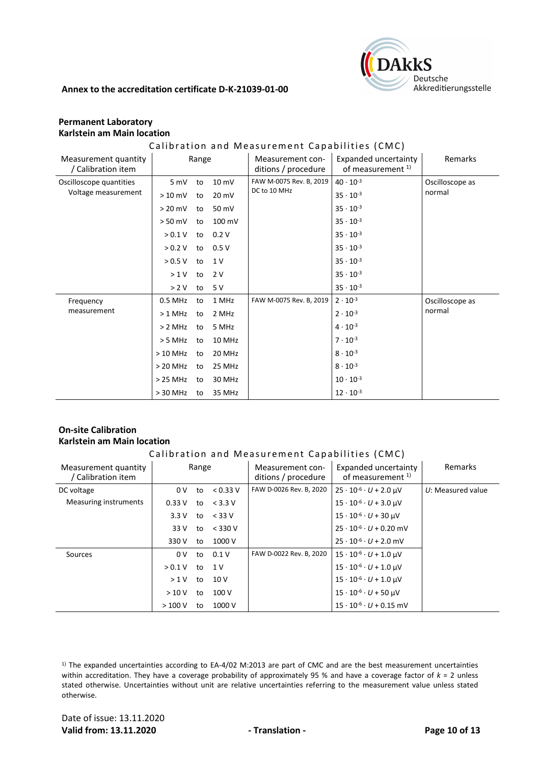

# **Permanent Laboratory Karlstein am Main location**

#### Calibration and Measurement Capabilities (CMC)

| Measurement quantity<br>/ Calibration item | Range      |    |        | Measurement con-<br>ditions / procedure | Expanded uncertainty<br>of measurement <sup>1)</sup> | Remarks         |
|--------------------------------------------|------------|----|--------|-----------------------------------------|------------------------------------------------------|-----------------|
| Oscilloscope quantities                    | 5 mV       | to | 10 mV  | FAW M-0075 Rev. B, 2019                 | $40 \cdot 10^{-3}$                                   | Oscilloscope as |
| Voltage measurement                        | $>10$ mV   | to | 20 mV  | DC to 10 MHz                            | $35 \cdot 10^{-3}$                                   | normal          |
|                                            | $> 20$ mV  | to | 50 mV  |                                         | $35 \cdot 10^{-3}$                                   |                 |
|                                            | $> 50$ mV  | to | 100 mV |                                         | $35 \cdot 10^{-3}$                                   |                 |
|                                            | > 0.1 V    | to | 0.2V   |                                         | $35 \cdot 10^{-3}$                                   |                 |
|                                            | > 0.2 V    | to | 0.5V   |                                         | $35 \cdot 10^{-3}$                                   |                 |
|                                            | > 0.5 V    | to | 1 V    |                                         | $35 \cdot 10^{-3}$                                   |                 |
|                                            | >1V        | to | 2 V    |                                         | $35 \cdot 10^{-3}$                                   |                 |
|                                            | > 2 V      | to | 5 V    |                                         | $35 \cdot 10^{-3}$                                   |                 |
| Frequency                                  | 0.5 MHz    | to | 1 MHz  | FAW M-0075 Rev. B, 2019                 | $2 \cdot 10^{-3}$                                    | Oscilloscope as |
| measurement                                | $>1$ MHz   | to | 2 MHz  |                                         | $2 \cdot 10^{-3}$                                    | normal          |
|                                            | > 2 MHz    | to | 5 MHz  |                                         | $4 \cdot 10^{-3}$                                    |                 |
|                                            | > 5 MHz    | to | 10 MHz |                                         | $7 \cdot 10^{-3}$                                    |                 |
|                                            | $>10$ MHz  | to | 20 MHz |                                         | $8 \cdot 10^{-3}$                                    |                 |
|                                            | $>$ 20 MHz | to | 25 MHz |                                         | $8 \cdot 10^{-3}$                                    |                 |
|                                            | $>25$ MHz  | to | 30 MHz |                                         | $10 \cdot 10^{-3}$                                   |                 |
|                                            | $> 30$ MHz | to | 35 MHz |                                         | $12 \cdot 10^{-3}$                                   |                 |

# **On-site Calibration Karlstein am Main location**

#### Calibration and Measurement Capabilities (CMC)

| Measurement quantity<br>/ Calibration item | Range          |    |           | Measurement con-<br>ditions / procedure | Expanded uncertainty<br>of measurement <sup>1)</sup> | Remarks             |
|--------------------------------------------|----------------|----|-----------|-----------------------------------------|------------------------------------------------------|---------------------|
| DC voltage                                 | 0 <sup>V</sup> | to | < 0.33 V  | FAW D-0026 Rev. B, 2020                 | $25 \cdot 10^{-6} \cdot U + 2.0 \text{ }\mu\text{V}$ | $U:$ Measured value |
| Measuring instruments                      | 0.33V          | to | $<$ 3.3 V |                                         | $15 \cdot 10^{-6} \cdot U + 3.0 \text{ }\mu\text{V}$ |                     |
|                                            | 3.3V           | to | $<$ 33 V  |                                         | $15 \cdot 10^{-6} \cdot U + 30$ µV                   |                     |
|                                            | 33 V           | to | $<$ 330 V |                                         | $25 \cdot 10^{-6} \cdot U + 0.20$ mV                 |                     |
|                                            | 330 V          | to | 1000 V    |                                         | $25 \cdot 10^{-6} \cdot U + 2.0$ mV                  |                     |
| Sources                                    | 0V             | to | 0.1V      | FAW D-0022 Rev. B, 2020                 | $15 \cdot 10^{-6} \cdot U + 1.0$ µV                  |                     |
|                                            | > 0.1 V        | to | 1 V       |                                         | $15 \cdot 10^{-6} \cdot U + 1.0$ µV                  |                     |
|                                            | >1V            | to | 10V       |                                         | $15 \cdot 10^{-6} \cdot U + 1.0$ µV                  |                     |
|                                            | >10V           | to | 100V      |                                         | $15 \cdot 10^{-6} \cdot U + 50$ µV                   |                     |
|                                            | >100V          | to | 1000 V    |                                         | $15 \cdot 10^{-6} \cdot U + 0.15$ mV                 |                     |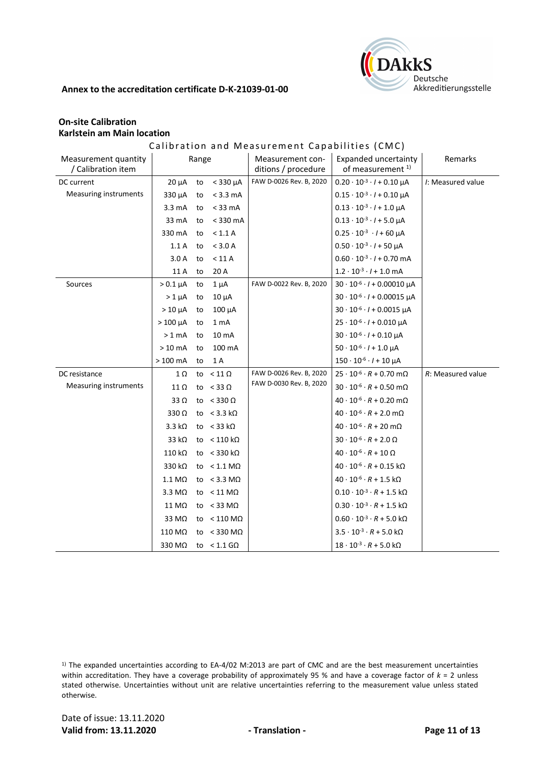

# **On-site Calibration Karlstein am Main location**

# Calibration and Measurement Capabilities (CMC)

| Measurement quantity<br>/ Calibration item |                       | Range |                            | Measurement con-<br>ditions / procedure | Expanded uncertainty<br>of measurement <sup>1)</sup>   | Remarks           |
|--------------------------------------------|-----------------------|-------|----------------------------|-----------------------------------------|--------------------------------------------------------|-------------------|
| DC current                                 | $20 \mu A$            | to    | $<$ 330 $\mu$ A            | FAW D-0026 Rev. B, 2020                 | $0.20 \cdot 10^{-3} \cdot l + 0.10 \mu A$              | /: Measured value |
| Measuring instruments                      | 330 µA                | to    | $<$ 3.3 mA                 |                                         | $0.15 \cdot 10^{-3} \cdot l + 0.10 \mu A$              |                   |
|                                            | $3.3 \text{ mA}$      | to    | $<$ 33 mA                  |                                         | $0.13 \cdot 10^{-3} \cdot l + 1.0 \mu A$               |                   |
|                                            | 33 mA                 | to    | $<$ 330 mA                 |                                         | $0.13 \cdot 10^{-3} \cdot l + 5.0 \mu A$               |                   |
|                                            | 330 mA                | to    | < 1.1 A                    |                                         | $0.25 \cdot 10^{-3}$ $\cdot$ / + 60 µA                 |                   |
|                                            | 1.1A                  | to    | < 3.0 A                    |                                         | $0.50 \cdot 10^{-3} \cdot l + 50 \mu A$                |                   |
|                                            | 3.0A                  | to    | < 11 A                     |                                         | $0.60 \cdot 10^{-3} \cdot l + 0.70$ mA                 |                   |
|                                            | 11 A                  | to    | 20 A                       |                                         | $1.2 \cdot 10^{-3} \cdot l + 1.0$ mA                   |                   |
| Sources                                    | $> 0.1 \mu A$         | to    | $1 \mu A$                  | FAW D-0022 Rev. B, 2020                 | $30 \cdot 10^{-6} \cdot l + 0.00010 \mu A$             |                   |
|                                            | $>1 \mu A$            | to    | $10 \mu A$                 |                                         | $30 \cdot 10^{-6} \cdot l + 0.00015 \mu A$             |                   |
|                                            | $>10 \mu A$           | to    | $100 \mu A$                |                                         | $30 \cdot 10^{-6} \cdot l + 0.0015 \mu A$              |                   |
|                                            | $>100 \mu A$          | to    | 1 mA                       |                                         | $25 \cdot 10^{-6} \cdot l + 0.010 \mu A$               |                   |
|                                            | $>1$ mA               | to    | 10 mA                      |                                         | $30 \cdot 10^{-6} \cdot l + 0.10 \mu A$                |                   |
|                                            | $>10$ mA              | to    | 100 mA                     |                                         | $50 \cdot 10^{-6} \cdot l + 1.0 \mu A$                 |                   |
|                                            | $>100$ mA             | to    | 1 A                        |                                         | $150 \cdot 10^{-6} \cdot l + 10 \mu A$                 |                   |
| DC resistance                              | 1Ω                    | to    | $< 11 \Omega$              | FAW D-0026 Rev. B, 2020                 | $25 \cdot 10^{-6} \cdot R + 0.70$ m $\Omega$           | R: Measured value |
| Measuring instruments                      | 11 Ω                  |       | to $<$ 33 $\Omega$         | FAW D-0030 Rev. B, 2020                 | $30 \cdot 10^{-6} \cdot R + 0.50 \text{ m}\Omega$      |                   |
|                                            | 33 $\Omega$           |       | to $<$ 330 $\Omega$        |                                         | $40 \cdot 10^{-6} \cdot R + 0.20$ m $\Omega$           |                   |
|                                            | 330Ω                  |       | to $<$ 3.3 kΩ              |                                         | $40 \cdot 10^{-6} \cdot R + 2.0 \text{ mA}$            |                   |
|                                            | $3.3 k\Omega$         |       | to $<$ 33 k $\Omega$       |                                         | $40 \cdot 10^{-6} \cdot R + 20 \text{ m}\Omega$        |                   |
|                                            | 33 k $\Omega$         |       | to $< 110 \text{ k}\Omega$ |                                         | $30\cdot10^{.6}\cdot R + 2.0\ \Omega$                  |                   |
|                                            | 110 kΩ                |       | to $<$ 330 k $\Omega$      |                                         | $40 \cdot 10^{-6} \cdot R + 10 \Omega$                 |                   |
|                                            | 330 kΩ                |       | to $< 1.1$ M $\Omega$      |                                         | $40 \cdot 10^{-6} \cdot R + 0.15$ kΩ                   |                   |
|                                            | $1.1 \text{ M}\Omega$ |       | to $< 3.3$ M $\Omega$      |                                         | $40 \cdot 10^{-6} \cdot R + 1.5 \text{ k}\Omega$       |                   |
|                                            | $3.3 \text{ M}\Omega$ |       | to $< 11$ M $\Omega$       |                                         | $0.10 \cdot 10^{-3} \cdot R + 1.5 \text{ k}\Omega$     |                   |
|                                            | 11 MΩ                 |       | to $<$ 33 M $\Omega$       |                                         | $0.30\cdot10^{\text{-}3}\cdot R + 1.5\;\text{k}\Omega$ |                   |
|                                            | 33 MΩ                 |       | to $< 110$ M $\Omega$      |                                         | $0.60 \cdot 10^{-3} \cdot R + 5.0 \text{ k}\Omega$     |                   |
|                                            | 110 MΩ                |       | to $<$ 330 M $\Omega$      |                                         | $3.5 \cdot 10^{-3} \cdot R + 5.0 \text{ k}\Omega$      |                   |
|                                            | 330 MΩ                |       | to $< 1.1$ G $\Omega$      |                                         | $18 \cdot 10^{-3} \cdot R + 5.0 \text{ k}\Omega$       |                   |

 $1)$  The expanded uncertainties according to EA-4/02 M:2013 are part of CMC and are the best measurement uncertainties within accreditation. They have a coverage probability of approximately 95 % and have a coverage factor of *k* = 2 unless stated otherwise. Uncertainties without unit are relative uncertainties referring to the measurement value unless stated otherwise.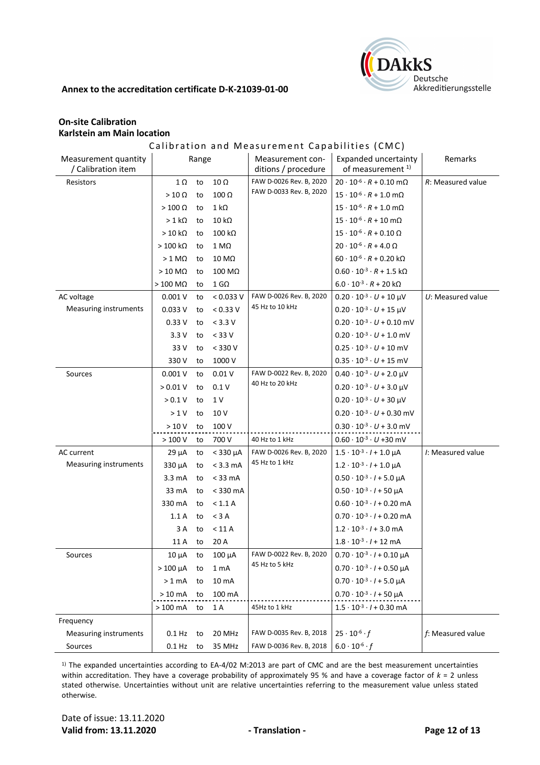

# **On-site Calibration Karlstein am Main location**

# Calibration and Measurement Capabilities (CMC)

| Measurement quantity<br>/ Calibration item | Range             |    |                       | Measurement con-<br>ditions / procedure | Expanded uncertainty<br>of measurement <sup>1)</sup> | Remarks              |
|--------------------------------------------|-------------------|----|-----------------------|-----------------------------------------|------------------------------------------------------|----------------------|
| Resistors                                  | $1 \Omega$        | to | $10 \Omega$           | FAW D-0026 Rev. B, 2020                 | $20 \cdot 10^{-6} \cdot R + 0.10 \text{ m}\Omega$    | R: Measured value    |
|                                            | $>10 \Omega$      | to | $100 \Omega$          | FAW D-0033 Rev. B, 2020                 | $15 \cdot 10^{-6} \cdot R + 1.0 \text{ mA}$          |                      |
|                                            | $>100 \Omega$     | to | $1 k\Omega$           |                                         | $15 \cdot 10^{-6} \cdot R + 1.0 \text{ m}\Omega$     |                      |
|                                            | $>1$ kΩ           | to | $10 k\Omega$          |                                         | $15 \cdot 10^{-6} \cdot R + 10 \text{ m}\Omega$      |                      |
|                                            | $>10 k\Omega$     | to | $100 k\Omega$         |                                         | $15 \cdot 10^{-6} \cdot R + 0.10 \Omega$             |                      |
|                                            | $>100$ kΩ         | to | $1 M\Omega$           |                                         | $20 \cdot 10^{-6} \cdot R + 4.0 \Omega$              |                      |
|                                            | $> 1$ M $\Omega$  | to | $10 \text{ M}\Omega$  |                                         | $60 \cdot 10^{-6} \cdot R + 0.20 \text{ k}\Omega$    |                      |
|                                            | $>10$ M $\Omega$  | to | $100\ \text{M}\Omega$ |                                         | $0.60 \cdot 10^{-3} \cdot R + 1.5 \text{ k}\Omega$   |                      |
|                                            | $>100$ M $\Omega$ | to | $1$ G $\Omega$        |                                         | $6.0 \cdot 10^{-3} \cdot R + 20 \text{ k}\Omega$     |                      |
| AC voltage                                 | 0.001V            | to | < 0.033 V             | FAW D-0026 Rev. B, 2020                 | $0.20 \cdot 10^{-3} \cdot U + 10 \mu V$              | $U:$ Measured value  |
| <b>Measuring instruments</b>               | 0.033V            | to | < 0.33 V              | 45 Hz to 10 kHz                         | $0.20 \cdot 10^{-3} \cdot U + 15 \mu V$              |                      |
|                                            | 0.33V             | to | $< 3.3 V$             |                                         | $0.20 \cdot 10^{-3} \cdot U + 0.10$ mV               |                      |
|                                            | 3.3V              | to | $< 33 V$              |                                         | $0.20 \cdot 10^{-3} \cdot U + 1.0$ mV                |                      |
|                                            | 33 V              | to | $< 330 V$             |                                         | $0.25 \cdot 10^{-3} \cdot U + 10$ mV                 |                      |
|                                            | 330 V             | to | 1000 V                |                                         | $0.35 \cdot 10^{-3} \cdot U + 15$ mV                 |                      |
| Sources                                    | 0.001V            | to | 0.01V                 | FAW D-0022 Rev. B, 2020                 | $0.40 \cdot 10^{-3} \cdot U + 2.0 \mu V$             |                      |
|                                            | > 0.01 V          | to | 0.1V                  | 40 Hz to 20 kHz                         | $0.20 \cdot 10^{-3} \cdot U + 3.0 \mu V$             |                      |
|                                            | > 0.1 V           | to | 1 V                   |                                         | $0.20 \cdot 10^{-3} \cdot U + 30 \mu V$              |                      |
|                                            | >1 V              | to | 10 V                  |                                         | $0.20 \cdot 10^{-3} \cdot U + 0.30$ mV               |                      |
|                                            | >10V              | to | 100 V                 |                                         | $0.30 \cdot 10^{-3} \cdot U + 3.0$ mV                |                      |
|                                            | >100V             | to | 700 V                 | 40 Hz to 1 kHz                          | $0.60 \cdot 10^{-3} \cdot U + 30$ mV                 |                      |
| AC current                                 | $29 \mu A$        | to | $<$ 330 $\mu$ A       | FAW D-0026 Rev. B, 2020                 | $1.5 \cdot 10^{-3} \cdot l + 1.0 \mu A$              | /: Measured value    |
| <b>Measuring instruments</b>               | 330 µA            | to | $< 3.3$ mA            | 45 Hz to 1 kHz                          | $1.2 \cdot 10^{-3} \cdot l + 1.0 \mu A$              |                      |
|                                            | $3.3 \text{ mA}$  | to | $<$ 33 mA             |                                         | $0.50 \cdot 10^{-3} \cdot l + 5.0 \mu A$             |                      |
|                                            | 33 mA             | to | $<$ 330 mA            |                                         | $0.50 \cdot 10^{-3} \cdot l + 50 \mu A$              |                      |
|                                            | 330 mA            | to | < 1.1 A               |                                         | $0.60 \cdot 10^{-3} \cdot l + 0.20$ mA               |                      |
|                                            | 1.1A              | to | $<$ 3 A               |                                         | $0.70 \cdot 10^{-3} \cdot l + 0.20$ mA               |                      |
|                                            | 3 A               | to | < 11 A                |                                         | $1.2 \cdot 10^{-3} \cdot l + 3.0$ mA                 |                      |
|                                            | 11 A              | to | 20 A                  |                                         | $1.8 \cdot 10^{-3} \cdot l + 12 \text{ mA}$          |                      |
| Sources                                    | $10 \mu A$        | to | $100 \mu A$           | FAW D-0022 Rev. B, 2020                 | $0.70 \cdot 10^{-3} \cdot l + 0.10 \text{ uA}$       |                      |
|                                            | $>100 \mu A$      | to | 1 <sub>mA</sub>       | 45 Hz to 5 kHz                          | $0.70 \cdot 10^{-3} \cdot l + 0.50 \mu A$            |                      |
|                                            | $>1$ mA           | to | 10 mA                 |                                         | $0.70 \cdot 10^{-3} \cdot l + 5.0 \mu A$             |                      |
|                                            | $>10$ mA          | to | 100 mA                |                                         | $0.70 \cdot 10^{-3} \cdot l + 50 \mu A$              |                      |
|                                            | $>100$ mA         | to | 1 A                   | 45Hz to 1 kHz                           | $1.5 \cdot 10^{-3} \cdot l + 0.30$ mA                |                      |
| Frequency                                  |                   |    |                       |                                         |                                                      |                      |
| <b>Measuring instruments</b>               | $0.1$ Hz          | to | 20 MHz                | FAW D-0035 Rev. B, 2018                 | $25 \cdot 10^{-6} \cdot f$                           | $f$ : Measured value |
| Sources                                    | $0.1$ Hz          | to | 35 MHz                | FAW D-0036 Rev. B, 2018                 | $6.0 \cdot 10^{-6} \cdot f$                          |                      |